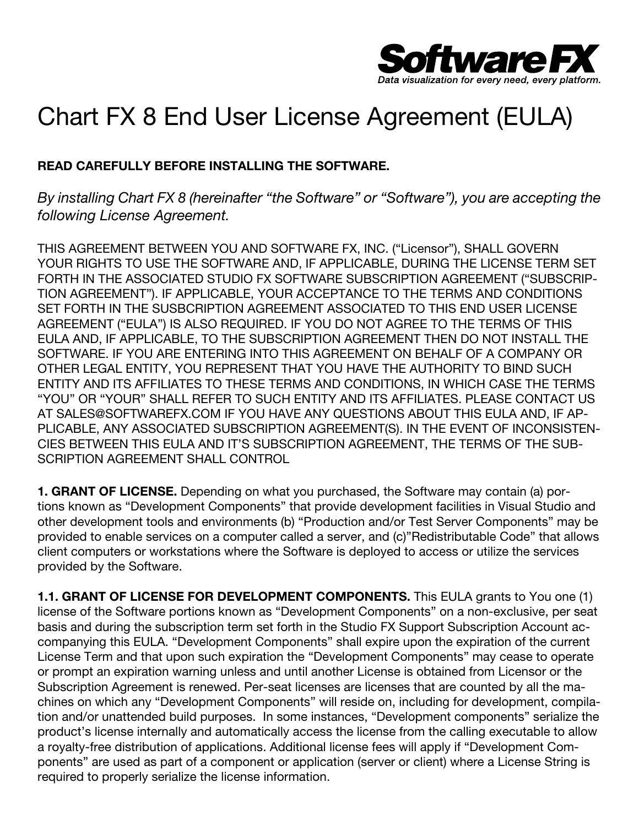

## Chart FX 8 End User License Agreement (EULA)

## READ CAREFULLY BEFORE INSTALLING THE SOFTWARE.

By installing Chart FX 8 (hereinafter "the Software" or "Software"), you are accepting the following License Agreement.

THIS AGREEMENT BETWEEN YOU AND SOFTWARE FX, INC. ("Licensor"), SHALL GOVERN YOUR RIGHTS TO USE THE SOFTWARE AND, IF APPLICABLE, DURING THE LICENSE TERM SET FORTH IN THE ASSOCIATED STUDIO FX SOFTWARE SUBSCRIPTION AGREEMENT ("SUBSCRIP-TION AGREEMENT"). IF APPLICABLE, YOUR ACCEPTANCE TO THE TERMS AND CONDITIONS SET FORTH IN THE SUSBCRIPTION AGREEMENT ASSOCIATED TO THIS END USER LICENSE AGREEMENT ("EULA") IS ALSO REQUIRED. IF YOU DO NOT AGREE TO THE TERMS OF THIS EULA AND, IF APPLICABLE, TO THE SUBSCRIPTION AGREEMENT THEN DO NOT INSTALL THE SOFTWARE. IF YOU ARE ENTERING INTO THIS AGREEMENT ON BEHALF OF A COMPANY OR OTHER LEGAL ENTITY, YOU REPRESENT THAT YOU HAVE THE AUTHORITY TO BIND SUCH ENTITY AND ITS AFFILIATES TO THESE TERMS AND CONDITIONS, IN WHICH CASE THE TERMS "YOU" OR "YOUR" SHALL REFER TO SUCH ENTITY AND ITS AFFILIATES. PLEASE CONTACT US AT SALES@SOFTWAREFX.COM IF YOU HAVE ANY QUESTIONS ABOUT THIS EULA AND, IF AP-PLICABLE, ANY ASSOCIATED SUBSCRIPTION AGREEMENT(S). IN THE EVENT OF INCONSISTEN-CIES BETWEEN THIS EULA AND IT'S SUBSCRIPTION AGREEMENT, THE TERMS OF THE SUB-SCRIPTION AGREEMENT SHALL CONTROL

**1. GRANT OF LICENSE.** Depending on what you purchased, the Software may contain (a) portions known as "Development Components" that provide development facilities in Visual Studio and other development tools and environments (b) "Production and/or Test Server Components" may be provided to enable services on a computer called a server, and (c)"Redistributable Code" that allows client computers or workstations where the Software is deployed to access or utilize the services provided by the Software.

1.1. GRANT OF LICENSE FOR DEVELOPMENT COMPONENTS. This EULA grants to You one (1) license of the Software portions known as "Development Components" on a non-exclusive, per seat basis and during the subscription term set forth in the Studio FX Support Subscription Account accompanying this EULA. "Development Components" shall expire upon the expiration of the current License Term and that upon such expiration the "Development Components" may cease to operate or prompt an expiration warning unless and until another License is obtained from Licensor or the Subscription Agreement is renewed. Per-seat licenses are licenses that are counted by all the machines on which any "Development Components" will reside on, including for development, compilation and/or unattended build purposes. In some instances, "Development components" serialize the product's license internally and automatically access the license from the calling executable to allow a royalty-free distribution of applications. Additional license fees will apply if "Development Components" are used as part of a component or application (server or client) where a License String is required to properly serialize the license information.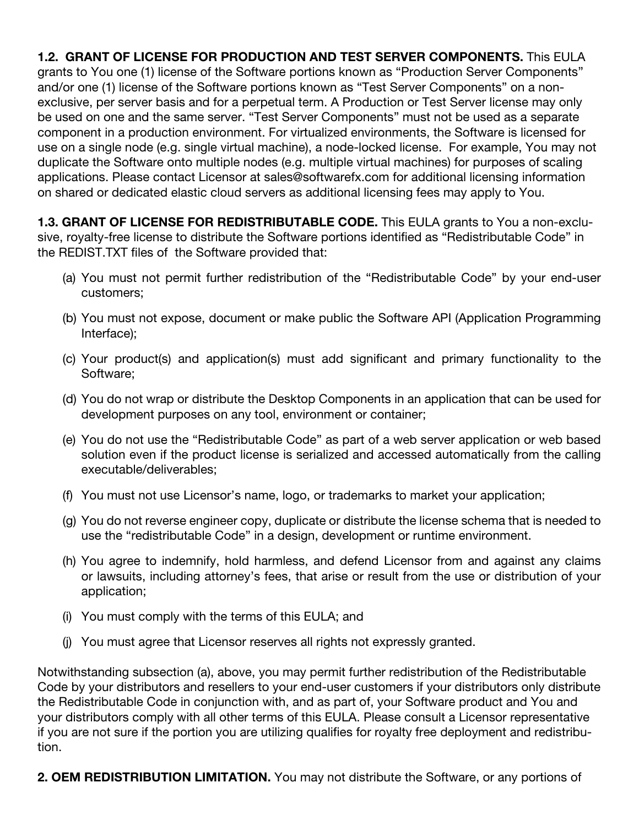1.2. GRANT OF LICENSE FOR PRODUCTION AND TEST SERVER COMPONENTS. This EULA grants to You one (1) license of the Software portions known as "Production Server Components" and/or one (1) license of the Software portions known as "Test Server Components" on a nonexclusive, per server basis and for a perpetual term. A Production or Test Server license may only be used on one and the same server. "Test Server Components" must not be used as a separate component in a production environment. For virtualized environments, the Software is licensed for use on a single node (e.g. single virtual machine), a node-locked license. For example, You may not duplicate the Software onto multiple nodes (e.g. multiple virtual machines) for purposes of scaling applications. Please contact Licensor at sales@softwarefx.com for additional licensing information on shared or dedicated elastic cloud servers as additional licensing fees may apply to You.

**1.3. GRANT OF LICENSE FOR REDISTRIBUTABLE CODE.** This EULA grants to You a non-exclusive, royalty-free license to distribute the Software portions identified as "Redistributable Code" in the REDIST.TXT files of the Software provided that:

- (a) You must not permit further redistribution of the "Redistributable Code" by your end-user customers;
- (b) You must not expose, document or make public the Software API (Application Programming Interface);
- (c) Your product(s) and application(s) must add significant and primary functionality to the Software;
- (d) You do not wrap or distribute the Desktop Components in an application that can be used for development purposes on any tool, environment or container;
- (e) You do not use the "Redistributable Code" as part of a web server application or web based solution even if the product license is serialized and accessed automatically from the calling executable/deliverables;
- (f) You must not use Licensor's name, logo, or trademarks to market your application;
- (g) You do not reverse engineer copy, duplicate or distribute the license schema that is needed to use the "redistributable Code" in a design, development or runtime environment.
- (h) You agree to indemnify, hold harmless, and defend Licensor from and against any claims or lawsuits, including attorney's fees, that arise or result from the use or distribution of your application;
- (i) You must comply with the terms of this EULA; and
- (j) You must agree that Licensor reserves all rights not expressly granted.

Notwithstanding subsection (a), above, you may permit further redistribution of the Redistributable Code by your distributors and resellers to your end-user customers if your distributors only distribute the Redistributable Code in conjunction with, and as part of, your Software product and You and your distributors comply with all other terms of this EULA. Please consult a Licensor representative if you are not sure if the portion you are utilizing qualifies for royalty free deployment and redistribution.

2. OEM REDISTRIBUTION LIMITATION. You may not distribute the Software, or any portions of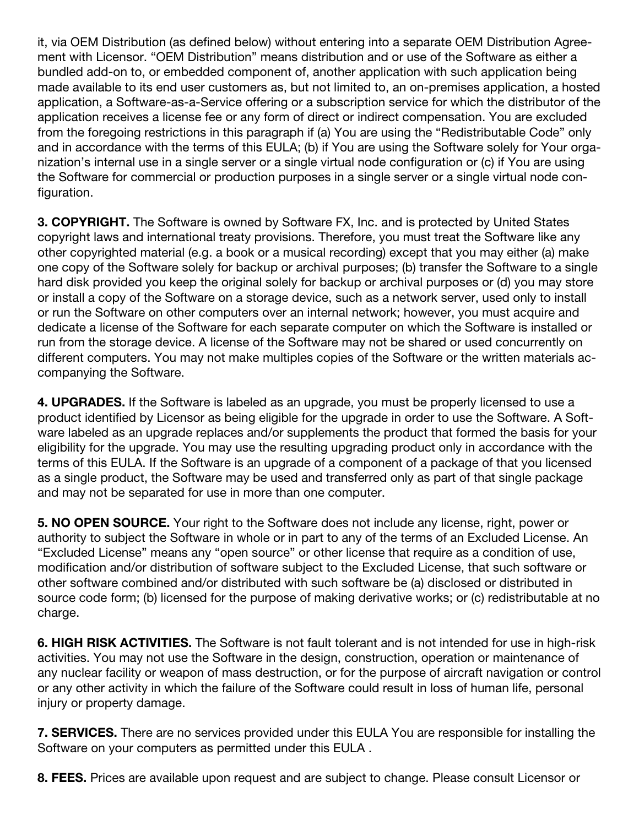it, via OEM Distribution (as defined below) without entering into a separate OEM Distribution Agreement with Licensor. "OEM Distribution" means distribution and or use of the Software as either a bundled add-on to, or embedded component of, another application with such application being made available to its end user customers as, but not limited to, an on-premises application, a hosted application, a Software-as-a-Service offering or a subscription service for which the distributor of the application receives a license fee or any form of direct or indirect compensation. You are excluded from the foregoing restrictions in this paragraph if (a) You are using the "Redistributable Code" only and in accordance with the terms of this EULA; (b) if You are using the Software solely for Your organization's internal use in a single server or a single virtual node configuration or (c) if You are using the Software for commercial or production purposes in a single server or a single virtual node configuration.

**3. COPYRIGHT.** The Software is owned by Software FX, Inc. and is protected by United States copyright laws and international treaty provisions. Therefore, you must treat the Software like any other copyrighted material (e.g. a book or a musical recording) except that you may either (a) make one copy of the Software solely for backup or archival purposes; (b) transfer the Software to a single hard disk provided you keep the original solely for backup or archival purposes or (d) you may store or install a copy of the Software on a storage device, such as a network server, used only to install or run the Software on other computers over an internal network; however, you must acquire and dedicate a license of the Software for each separate computer on which the Software is installed or run from the storage device. A license of the Software may not be shared or used concurrently on different computers. You may not make multiples copies of the Software or the written materials accompanying the Software.

4. **UPGRADES.** If the Software is labeled as an upgrade, you must be properly licensed to use a product identified by Licensor as being eligible for the upgrade in order to use the Software. A Software labeled as an upgrade replaces and/or supplements the product that formed the basis for your eligibility for the upgrade. You may use the resulting upgrading product only in accordance with the terms of this EULA. If the Software is an upgrade of a component of a package of that you licensed as a single product, the Software may be used and transferred only as part of that single package and may not be separated for use in more than one computer.

5. NO OPEN SOURCE. Your right to the Software does not include any license, right, power or authority to subject the Software in whole or in part to any of the terms of an Excluded License. An "Excluded License" means any "open source" or other license that require as a condition of use, modification and/or distribution of software subject to the Excluded License, that such software or other software combined and/or distributed with such software be (a) disclosed or distributed in source code form; (b) licensed for the purpose of making derivative works; or (c) redistributable at no charge.

6. HIGH RISK ACTIVITIES. The Software is not fault tolerant and is not intended for use in high-risk activities. You may not use the Software in the design, construction, operation or maintenance of any nuclear facility or weapon of mass destruction, or for the purpose of aircraft navigation or control or any other activity in which the failure of the Software could result in loss of human life, personal injury or property damage.

**7. SERVICES.** There are no services provided under this EULA You are responsible for installing the Software on your computers as permitted under this EULA .

8. FEES. Prices are available upon request and are subject to change. Please consult Licensor or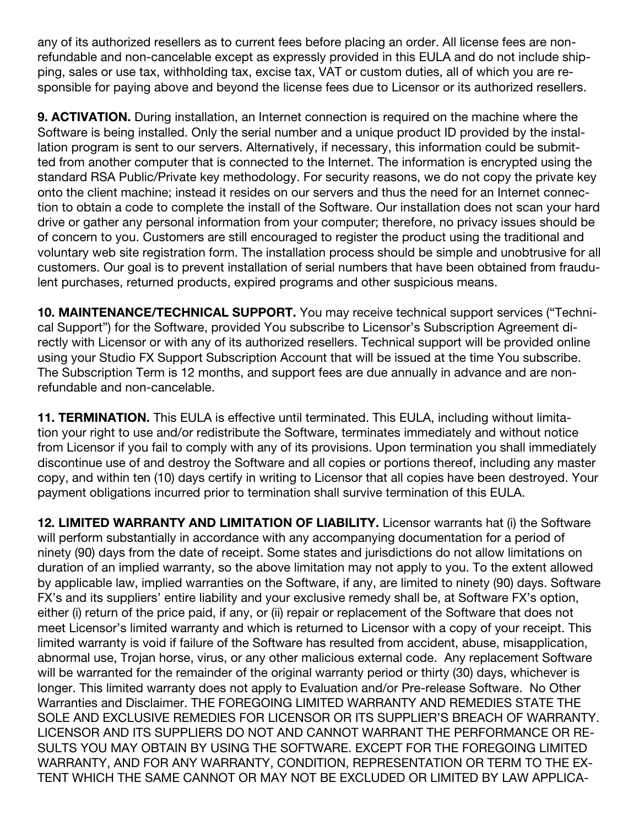any of its authorized resellers as to current fees before placing an order. All license fees are nonrefundable and non-cancelable except as expressly provided in this EULA and do not include shipping, sales or use tax, withholding tax, excise tax, VAT or custom duties, all of which you are responsible for paying above and beyond the license fees due to Licensor or its authorized resellers.

9. **ACTIVATION.** During installation, an Internet connection is required on the machine where the Software is being installed. Only the serial number and a unique product ID provided by the installation program is sent to our servers. Alternatively, if necessary, this information could be submitted from another computer that is connected to the Internet. The information is encrypted using the standard RSA Public/Private key methodology. For security reasons, we do not copy the private key onto the client machine; instead it resides on our servers and thus the need for an Internet connection to obtain a code to complete the install of the Software. Our installation does not scan your hard drive or gather any personal information from your computer; therefore, no privacy issues should be of concern to you. Customers are still encouraged to register the product using the traditional and voluntary web site registration form. The installation process should be simple and unobtrusive for all customers. Our goal is to prevent installation of serial numbers that have been obtained from fraudulent purchases, returned products, expired programs and other suspicious means.

10. MAINTENANCE/TECHNICAL SUPPORT. You may receive technical support services ("Technical Support") for the Software, provided You subscribe to Licensor's Subscription Agreement directly with Licensor or with any of its authorized resellers. Technical support will be provided online using your Studio FX Support Subscription Account that will be issued at the time You subscribe. The Subscription Term is 12 months, and support fees are due annually in advance and are nonrefundable and non-cancelable.

11. TERMINATION. This EULA is effective until terminated. This EULA, including without limitation your right to use and/or redistribute the Software, terminates immediately and without notice from Licensor if you fail to comply with any of its provisions. Upon termination you shall immediately discontinue use of and destroy the Software and all copies or portions thereof, including any master copy, and within ten (10) days certify in writing to Licensor that all copies have been destroyed. Your payment obligations incurred prior to termination shall survive termination of this EULA.

12. LIMITED WARRANTY AND LIMITATION OF LIABILITY. Licensor warrants hat (i) the Software will perform substantially in accordance with any accompanying documentation for a period of ninety (90) days from the date of receipt. Some states and jurisdictions do not allow limitations on duration of an implied warranty, so the above limitation may not apply to you. To the extent allowed by applicable law, implied warranties on the Software, if any, are limited to ninety (90) days. Software FX's and its suppliers' entire liability and your exclusive remedy shall be, at Software FX's option, either (i) return of the price paid, if any, or (ii) repair or replacement of the Software that does not meet Licensor's limited warranty and which is returned to Licensor with a copy of your receipt. This limited warranty is void if failure of the Software has resulted from accident, abuse, misapplication, abnormal use, Trojan horse, virus, or any other malicious external code. Any replacement Software will be warranted for the remainder of the original warranty period or thirty (30) days, whichever is longer. This limited warranty does not apply to Evaluation and/or Pre-release Software. No Other Warranties and Disclaimer. THE FOREGOING LIMITED WARRANTY AND REMEDIES STATE THE SOLE AND EXCLUSIVE REMEDIES FOR LICENSOR OR ITS SUPPLIER'S BREACH OF WARRANTY. LICENSOR AND ITS SUPPLIERS DO NOT AND CANNOT WARRANT THE PERFORMANCE OR RE-SULTS YOU MAY OBTAIN BY USING THE SOFTWARE. EXCEPT FOR THE FOREGOING LIMITED WARRANTY, AND FOR ANY WARRANTY, CONDITION, REPRESENTATION OR TERM TO THE EX-TENT WHICH THE SAME CANNOT OR MAY NOT BE EXCLUDED OR LIMITED BY LAW APPLICA-